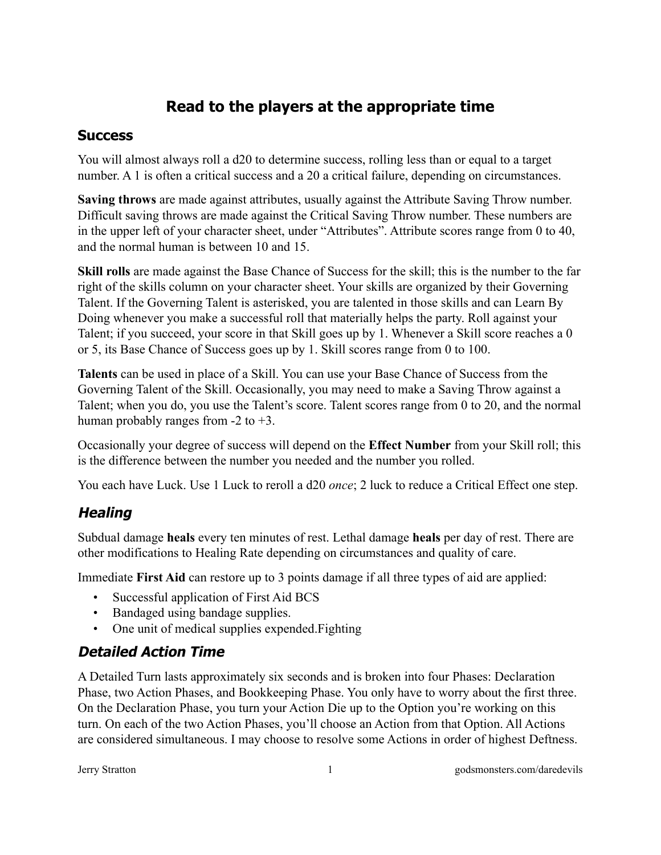# **Read to the players at the appropriate time**

#### **Success**

You will almost always roll a d20 to determine success, rolling less than or equal to a target number. A 1 is often a critical success and a 20 a critical failure, depending on circumstances.

**Saving throws** are made against attributes, usually against the Attribute Saving Throw number. Difficult saving throws are made against the Critical Saving Throw number. These numbers are in the upper left of your character sheet, under "Attributes". Attribute scores range from 0 to 40, and the normal human is between 10 and 15.

**Skill rolls** are made against the Base Chance of Success for the skill; this is the number to the far right of the skills column on your character sheet. Your skills are organized by their Governing Talent. If the Governing Talent is asterisked, you are talented in those skills and can Learn By Doing whenever you make a successful roll that materially helps the party. Roll against your Talent; if you succeed, your score in that Skill goes up by 1. Whenever a Skill score reaches a 0 or 5, its Base Chance of Success goes up by 1. Skill scores range from 0 to 100.

**Talents** can be used in place of a Skill. You can use your Base Chance of Success from the Governing Talent of the Skill. Occasionally, you may need to make a Saving Throw against a Talent; when you do, you use the Talent's score. Talent scores range from 0 to 20, and the normal human probably ranges from  $-2$  to  $+3$ .

Occasionally your degree of success will depend on the **Effect Number** from your Skill roll; this is the difference between the number you needed and the number you rolled.

You each have Luck. Use 1 Luck to reroll a d20 *once*; 2 luck to reduce a Critical Effect one step.

# **Healing**

Subdual damage **heals** every ten minutes of rest. Lethal damage **heals** per day of rest. There are other modifications to Healing Rate depending on circumstances and quality of care.

Immediate **First Aid** can restore up to 3 points damage if all three types of aid are applied:

- Successful application of First Aid BCS
- Bandaged using bandage supplies.
- One unit of medical supplies expended.Fighting

# **Detailed Action Time**

A Detailed Turn lasts approximately six seconds and is broken into four Phases: Declaration Phase, two Action Phases, and Bookkeeping Phase. You only have to worry about the first three. On the Declaration Phase, you turn your Action Die up to the Option you're working on this turn. On each of the two Action Phases, you'll choose an Action from that Option. All Actions are considered simultaneous. I may choose to resolve some Actions in order of highest Deftness.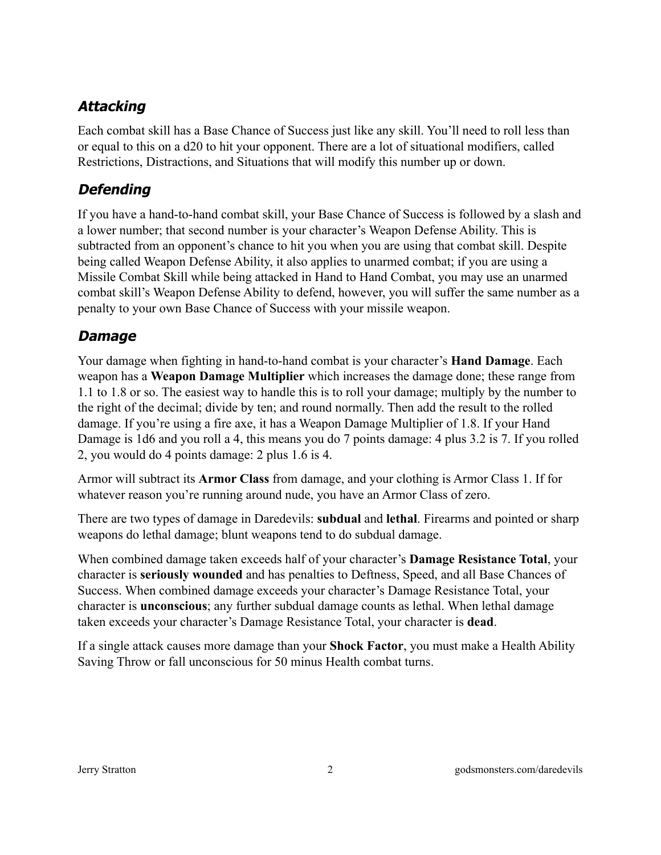# **Attacking**

Each combat skill has a Base Chance of Success just like any skill. You'll need to roll less than or equal to this on a d20 to hit your opponent. There are a lot of situational modifiers, called Restrictions, Distractions, and Situations that will modify this number up or down.

## **Defending**

If you have a hand-to-hand combat skill, your Base Chance of Success is followed by a slash and a lower number; that second number is your character's Weapon Defense Ability. This is subtracted from an opponent's chance to hit you when you are using that combat skill. Despite being called Weapon Defense Ability, it also applies to unarmed combat; if you are using a Missile Combat Skill while being attacked in Hand to Hand Combat, you may use an unarmed combat skill's Weapon Defense Ability to defend, however, you will suffer the same number as a penalty to your own Base Chance of Success with your missile weapon.

# **Damage**

Your damage when fighting in hand-to-hand combat is your character's **Hand Damage**. Each weapon has a **Weapon Damage Multiplier** which increases the damage done; these range from 1.1 to 1.8 or so. The easiest way to handle this is to roll your damage; multiply by the number to the right of the decimal; divide by ten; and round normally. Then add the result to the rolled damage. If you're using a fire axe, it has a Weapon Damage Multiplier of 1.8. If your Hand Damage is 1d6 and you roll a 4, this means you do 7 points damage: 4 plus 3.2 is 7. If you rolled 2, you would do 4 points damage: 2 plus 1.6 is 4.

Armor will subtract its **Armor Class** from damage, and your clothing is Armor Class 1. If for whatever reason you're running around nude, you have an Armor Class of zero.

There are two types of damage in Daredevils: **subdual** and **lethal**. Firearms and pointed or sharp weapons do lethal damage; blunt weapons tend to do subdual damage.

When combined damage taken exceeds half of your character's **Damage Resistance Total**, your character is **seriously wounded** and has penalties to Deftness, Speed, and all Base Chances of Success. When combined damage exceeds your character's Damage Resistance Total, your character is **unconscious**; any further subdual damage counts as lethal. When lethal damage taken exceeds your character's Damage Resistance Total, your character is **dead**.

If a single attack causes more damage than your **Shock Factor**, you must make a Health Ability Saving Throw or fall unconscious for 50 minus Health combat turns.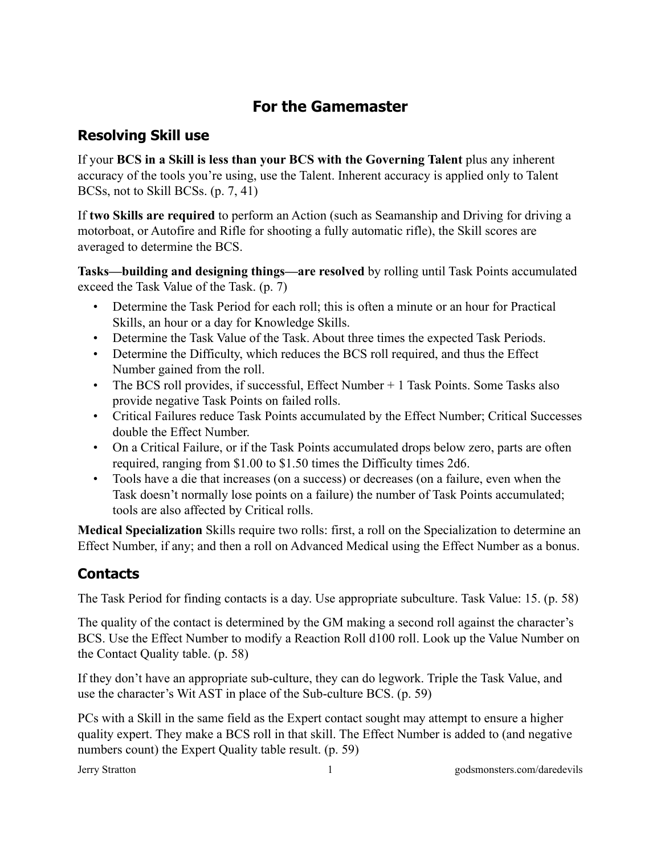# **For the Gamemaster**

#### **Resolving Skill use**

If your **BCS in a Skill is less than your BCS with the Governing Talent** plus any inherent accuracy of the tools you're using, use the Talent. Inherent accuracy is applied only to Talent BCSs, not to Skill BCSs. (p. 7, 41)

If **two Skills are required** to perform an Action (such as Seamanship and Driving for driving a motorboat, or Autofire and Rifle for shooting a fully automatic rifle), the Skill scores are averaged to determine the BCS.

**Tasks—building and designing things—are resolved** by rolling until Task Points accumulated exceed the Task Value of the Task. (p. 7)

- Determine the Task Period for each roll; this is often a minute or an hour for Practical Skills, an hour or a day for Knowledge Skills.
- Determine the Task Value of the Task. About three times the expected Task Periods.
- Determine the Difficulty, which reduces the BCS roll required, and thus the Effect Number gained from the roll.
- The BCS roll provides, if successful, Effect Number + 1 Task Points. Some Tasks also provide negative Task Points on failed rolls.
- Critical Failures reduce Task Points accumulated by the Effect Number; Critical Successes double the Effect Number.
- On a Critical Failure, or if the Task Points accumulated drops below zero, parts are often required, ranging from \$1.00 to \$1.50 times the Difficulty times 2d6.
- Tools have a die that increases (on a success) or decreases (on a failure, even when the Task doesn't normally lose points on a failure) the number of Task Points accumulated; tools are also affected by Critical rolls.

**Medical Specialization** Skills require two rolls: first, a roll on the Specialization to determine an Effect Number, if any; and then a roll on Advanced Medical using the Effect Number as a bonus.

# **Contacts**

The Task Period for finding contacts is a day. Use appropriate subculture. Task Value: 15. (p. 58)

The quality of the contact is determined by the GM making a second roll against the character's BCS. Use the Effect Number to modify a Reaction Roll d100 roll. Look up the Value Number on the Contact Quality table. (p. 58)

If they don't have an appropriate sub-culture, they can do legwork. Triple the Task Value, and use the character's Wit AST in place of the Sub-culture BCS. (p. 59)

PCs with a Skill in the same field as the Expert contact sought may attempt to ensure a higher quality expert. They make a BCS roll in that skill. The Effect Number is added to (and negative numbers count) the Expert Quality table result. (p. 59)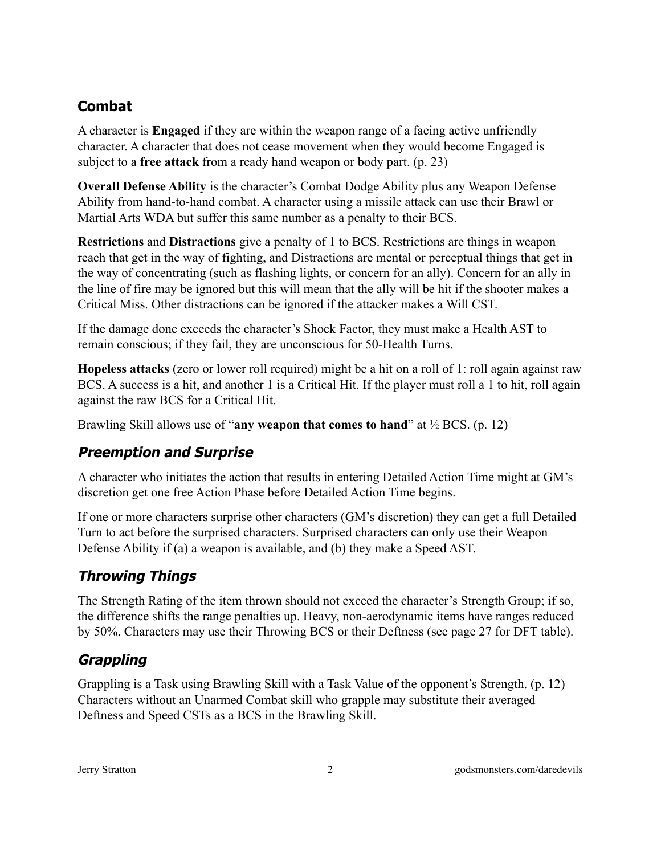# **Combat**

A character is **Engaged** if they are within the weapon range of a facing active unfriendly character. A character that does not cease movement when they would become Engaged is subject to a **free attack** from a ready hand weapon or body part. (p. 23)

**Overall Defense Ability** is the character's Combat Dodge Ability plus any Weapon Defense Ability from hand-to-hand combat. A character using a missile attack can use their Brawl or Martial Arts WDA but suffer this same number as a penalty to their BCS.

**Restrictions** and **Distractions** give a penalty of 1 to BCS. Restrictions are things in weapon reach that get in the way of fighting, and Distractions are mental or perceptual things that get in the way of concentrating (such as flashing lights, or concern for an ally). Concern for an ally in the line of fire may be ignored but this will mean that the ally will be hit if the shooter makes a Critical Miss. Other distractions can be ignored if the attacker makes a Will CST.

If the damage done exceeds the character's Shock Factor, they must make a Health AST to remain conscious; if they fail, they are unconscious for 50-Health Turns.

**Hopeless attacks** (zero or lower roll required) might be a hit on a roll of 1: roll again against raw BCS. A success is a hit, and another 1 is a Critical Hit. If the player must roll a 1 to hit, roll again against the raw BCS for a Critical Hit.

Brawling Skill allows use of "**any weapon that comes to hand**" at ½ BCS. (p. 12)

#### **Preemption and Surprise**

A character who initiates the action that results in entering Detailed Action Time might at GM's discretion get one free Action Phase before Detailed Action Time begins.

If one or more characters surprise other characters (GM's discretion) they can get a full Detailed Turn to act before the surprised characters. Surprised characters can only use their Weapon Defense Ability if (a) a weapon is available, and (b) they make a Speed AST.

# **Throwing Things**

The Strength Rating of the item thrown should not exceed the character's Strength Group; if so, the difference shifts the range penalties up. Heavy, non-aerodynamic items have ranges reduced by 50%. Characters may use their Throwing BCS or their Deftness (see page 27 for DFT table).

# **Grappling**

Grappling is a Task using Brawling Skill with a Task Value of the opponent's Strength. (p. 12) Characters without an Unarmed Combat skill who grapple may substitute their averaged Deftness and Speed CSTs as a BCS in the Brawling Skill.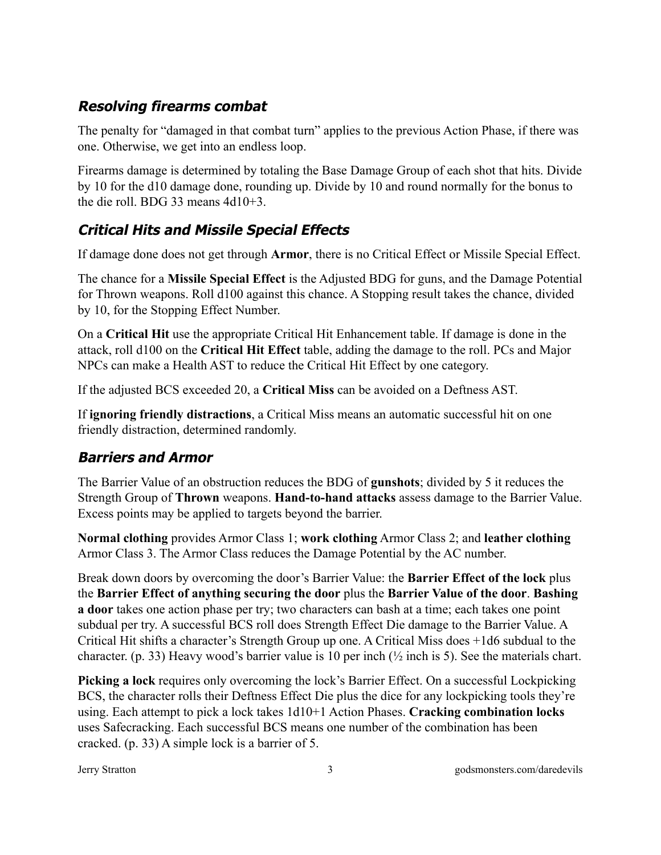## **Resolving firearms combat**

The penalty for "damaged in that combat turn" applies to the previous Action Phase, if there was one. Otherwise, we get into an endless loop.

Firearms damage is determined by totaling the Base Damage Group of each shot that hits. Divide by 10 for the d10 damage done, rounding up. Divide by 10 and round normally for the bonus to the die roll. BDG 33 means 4d10+3.

# **Critical Hits and Missile Special Effects**

If damage done does not get through **Armor**, there is no Critical Effect or Missile Special Effect.

The chance for a **Missile Special Effect** is the Adjusted BDG for guns, and the Damage Potential for Thrown weapons. Roll d100 against this chance. A Stopping result takes the chance, divided by 10, for the Stopping Effect Number.

On a **Critical Hit** use the appropriate Critical Hit Enhancement table. If damage is done in the attack, roll d100 on the **Critical Hit Effect** table, adding the damage to the roll. PCs and Major NPCs can make a Health AST to reduce the Critical Hit Effect by one category.

If the adjusted BCS exceeded 20, a **Critical Miss** can be avoided on a Deftness AST.

If **ignoring friendly distractions**, a Critical Miss means an automatic successful hit on one friendly distraction, determined randomly.

#### **Barriers and Armor**

The Barrier Value of an obstruction reduces the BDG of **gunshots**; divided by 5 it reduces the Strength Group of **Thrown** weapons. **Hand-to-hand attacks** assess damage to the Barrier Value. Excess points may be applied to targets beyond the barrier.

**Normal clothing** provides Armor Class 1; **work clothing** Armor Class 2; and **leather clothing** Armor Class 3. The Armor Class reduces the Damage Potential by the AC number.

Break down doors by overcoming the door's Barrier Value: the **Barrier Effect of the lock** plus the **Barrier Effect of anything securing the door** plus the **Barrier Value of the door**. **Bashing a door** takes one action phase per try; two characters can bash at a time; each takes one point subdual per try. A successful BCS roll does Strength Effect Die damage to the Barrier Value. A Critical Hit shifts a character's Strength Group up one. A Critical Miss does +1d6 subdual to the character. (p. 33) Heavy wood's barrier value is 10 per inch (½ inch is 5). See the materials chart.

**Picking a lock** requires only overcoming the lock's Barrier Effect. On a successful Lockpicking BCS, the character rolls their Deftness Effect Die plus the dice for any lockpicking tools they're using. Each attempt to pick a lock takes 1d10+1 Action Phases. **Cracking combination locks** uses Safecracking. Each successful BCS means one number of the combination has been cracked. (p. 33) A simple lock is a barrier of 5.